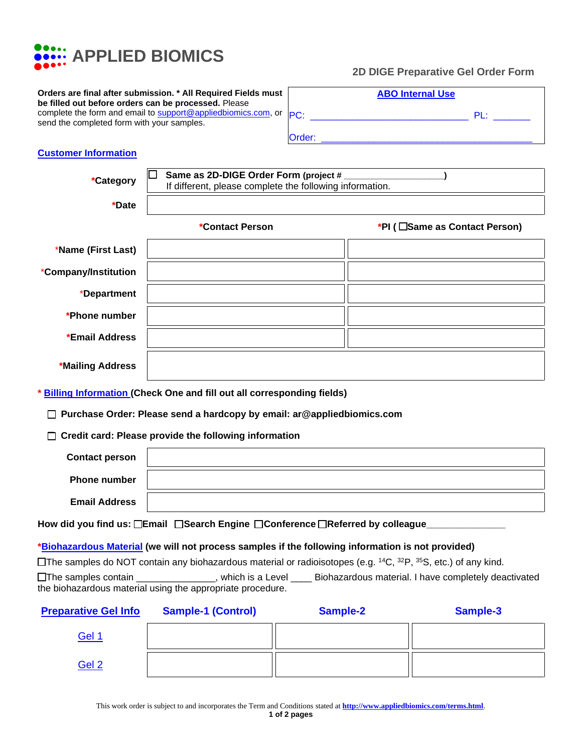

## **2D DIGE Preparative Gel Order Form**

|        | <b>ABO Internal Use</b> |        |  |
|--------|-------------------------|--------|--|
| PC:    |                         | $PI +$ |  |
| Order: |                         |        |  |

## **Customer Information**

| *Category                                                                                                                                                                                                                                          | Same as 2D-DIGE Order Form (project #<br>If different, please complete the following information. |                               |  |  |
|----------------------------------------------------------------------------------------------------------------------------------------------------------------------------------------------------------------------------------------------------|---------------------------------------------------------------------------------------------------|-------------------------------|--|--|
| *Date                                                                                                                                                                                                                                              |                                                                                                   |                               |  |  |
|                                                                                                                                                                                                                                                    | *Contact Person                                                                                   | *PI (□Same as Contact Person) |  |  |
| *Name (First Last)                                                                                                                                                                                                                                 |                                                                                                   |                               |  |  |
| *Company/Institution                                                                                                                                                                                                                               |                                                                                                   |                               |  |  |
| *Department                                                                                                                                                                                                                                        |                                                                                                   |                               |  |  |
| *Phone number                                                                                                                                                                                                                                      |                                                                                                   |                               |  |  |
| *Email Address                                                                                                                                                                                                                                     |                                                                                                   |                               |  |  |
| *Mailing Address                                                                                                                                                                                                                                   |                                                                                                   |                               |  |  |
| <b>Billing Information (Check One and fill out all corresponding fields)</b>                                                                                                                                                                       |                                                                                                   |                               |  |  |
| Purchase Order: Please send a hardcopy by email: ar@appliedbiomics.com                                                                                                                                                                             |                                                                                                   |                               |  |  |
|                                                                                                                                                                                                                                                    | Credit card: Please provide the following information                                             |                               |  |  |
| <b>Contact person</b>                                                                                                                                                                                                                              |                                                                                                   |                               |  |  |
| <b>Phone number</b>                                                                                                                                                                                                                                |                                                                                                   |                               |  |  |
| <b>Email Address</b>                                                                                                                                                                                                                               |                                                                                                   |                               |  |  |
| How did you find us: □Email □Search Engine □Conference □Referred by colleague_                                                                                                                                                                     |                                                                                                   |                               |  |  |
| *Biohazardous Material (we will not process samples if the following information is not provided)                                                                                                                                                  |                                                                                                   |                               |  |  |
| The samples do NOT contain any biohazardous material or radioisotopes (e.g. $^{14}C$ , $^{32}P$ , $^{35}S$ , etc.) of any kind.<br>Biohazardous material. I have completely deactivated<br>$\square$ The samples contain<br>____, which is a Level |                                                                                                   |                               |  |  |

the biohazardous material using the appropriate procedure.

| <b>Preparative Gel Info</b> | <b>Sample-1 (Control)</b> | Sample-2 | Sample-3 |
|-----------------------------|---------------------------|----------|----------|
| <b>Gel 1</b>                |                           |          |          |
| Gel 2                       |                           |          |          |